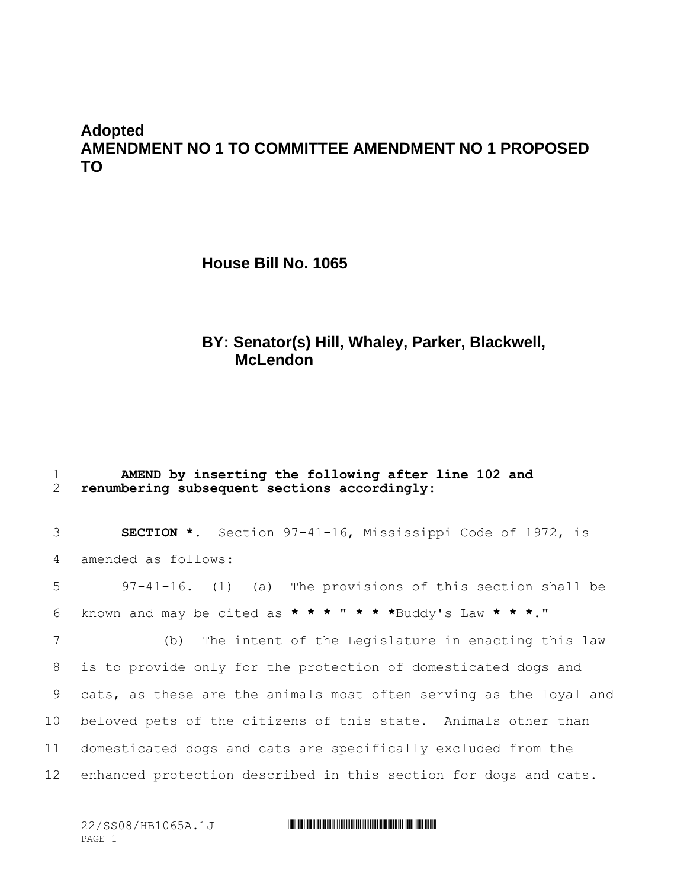# **Adopted AMENDMENT NO 1 TO COMMITTEE AMENDMENT NO 1 PROPOSED TO**

**House Bill No. 1065**

# **BY: Senator(s) Hill, Whaley, Parker, Blackwell, McLendon**

| 2        | renumbering subsequent sections accordingly: |  |  | AMEND by inserting the following after line 102 and              |  |  |  |
|----------|----------------------------------------------|--|--|------------------------------------------------------------------|--|--|--|
| $3 \sim$ |                                              |  |  | <b>SECTION *.</b> Section 97-41-16, Mississippi Code of 1972, is |  |  |  |
|          | 4 amended as follows:                        |  |  |                                                                  |  |  |  |

5 97-41-16. (1) (a) The provisions of this section shall be 6 known and may be cited as **\* \* \*** " **\* \* \***Buddy's Law **\* \* \***."

 (b) The intent of the Legislature in enacting this law is to provide only for the protection of domesticated dogs and cats, as these are the animals most often serving as the loyal and beloved pets of the citizens of this state. Animals other than domesticated dogs and cats are specifically excluded from the enhanced protection described in this section for dogs and cats.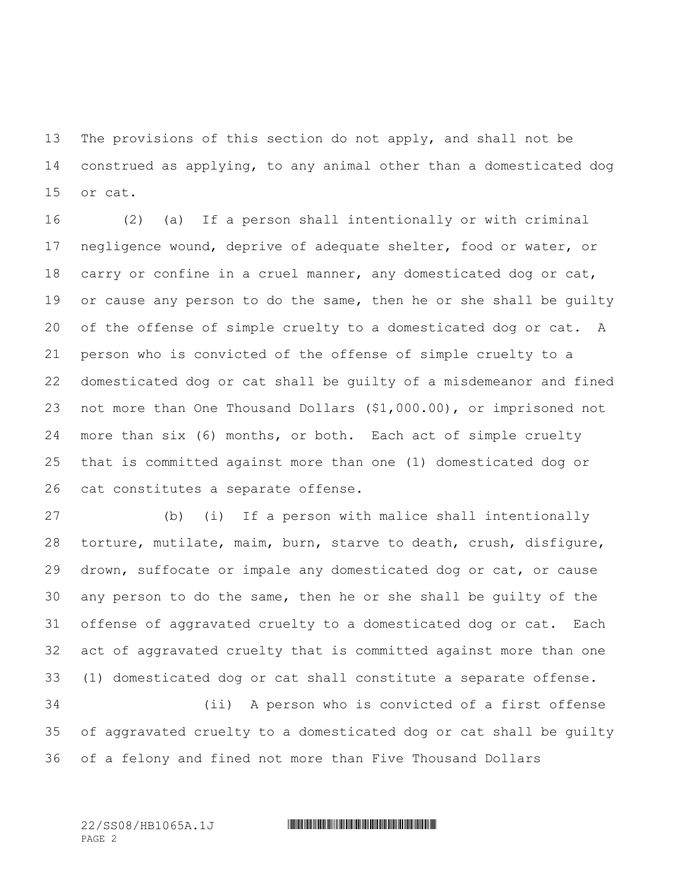The provisions of this section do not apply, and shall not be construed as applying, to any animal other than a domesticated dog or cat.

 (2) (a) If a person shall intentionally or with criminal negligence wound, deprive of adequate shelter, food or water, or 18 carry or confine in a cruel manner, any domesticated dog or cat, 19 or cause any person to do the same, then he or she shall be guilty of the offense of simple cruelty to a domesticated dog or cat. A person who is convicted of the offense of simple cruelty to a domesticated dog or cat shall be guilty of a misdemeanor and fined not more than One Thousand Dollars (\$1,000.00), or imprisoned not more than six (6) months, or both. Each act of simple cruelty that is committed against more than one (1) domesticated dog or cat constitutes a separate offense.

 (b) (i) If a person with malice shall intentionally torture, mutilate, maim, burn, starve to death, crush, disfigure, drown, suffocate or impale any domesticated dog or cat, or cause any person to do the same, then he or she shall be guilty of the offense of aggravated cruelty to a domesticated dog or cat. Each act of aggravated cruelty that is committed against more than one (1) domesticated dog or cat shall constitute a separate offense. (ii) A person who is convicted of a first offense

 of aggravated cruelty to a domesticated dog or cat shall be guilty of a felony and fined not more than Five Thousand Dollars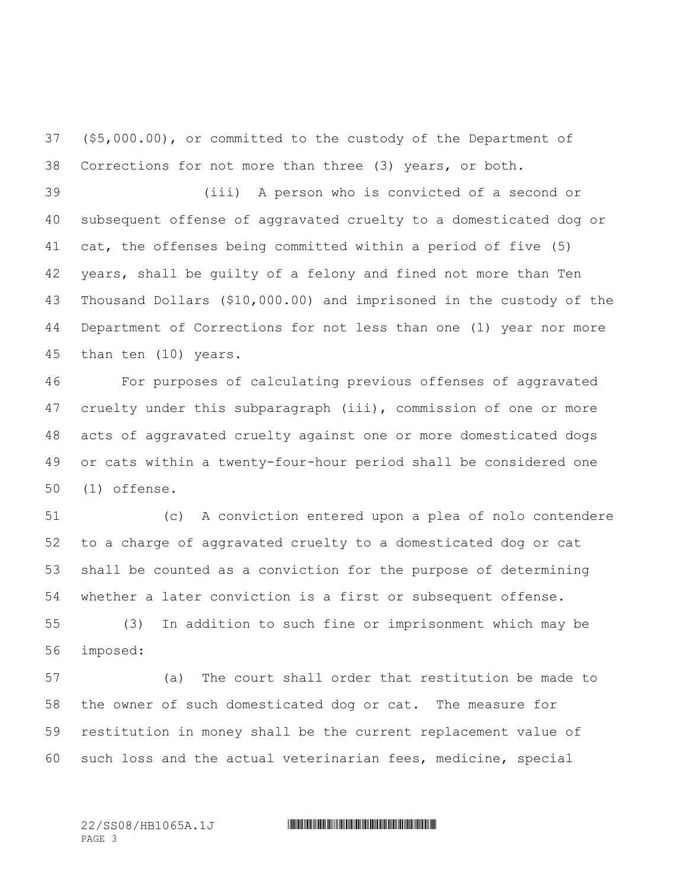(\$5,000.00), or committed to the custody of the Department of Corrections for not more than three (3) years, or both.

 (iii) A person who is convicted of a second or subsequent offense of aggravated cruelty to a domesticated dog or cat, the offenses being committed within a period of five (5) years, shall be guilty of a felony and fined not more than Ten Thousand Dollars (\$10,000.00) and imprisoned in the custody of the Department of Corrections for not less than one (1) year nor more than ten (10) years.

 For purposes of calculating previous offenses of aggravated cruelty under this subparagraph (iii), commission of one or more acts of aggravated cruelty against one or more domesticated dogs or cats within a twenty-four-hour period shall be considered one (1) offense.

 (c) A conviction entered upon a plea of nolo contendere to a charge of aggravated cruelty to a domesticated dog or cat shall be counted as a conviction for the purpose of determining whether a later conviction is a first or subsequent offense.

 (3) In addition to such fine or imprisonment which may be imposed:

 (a) The court shall order that restitution be made to the owner of such domesticated dog or cat. The measure for restitution in money shall be the current replacement value of such loss and the actual veterinarian fees, medicine, special

PAGE 3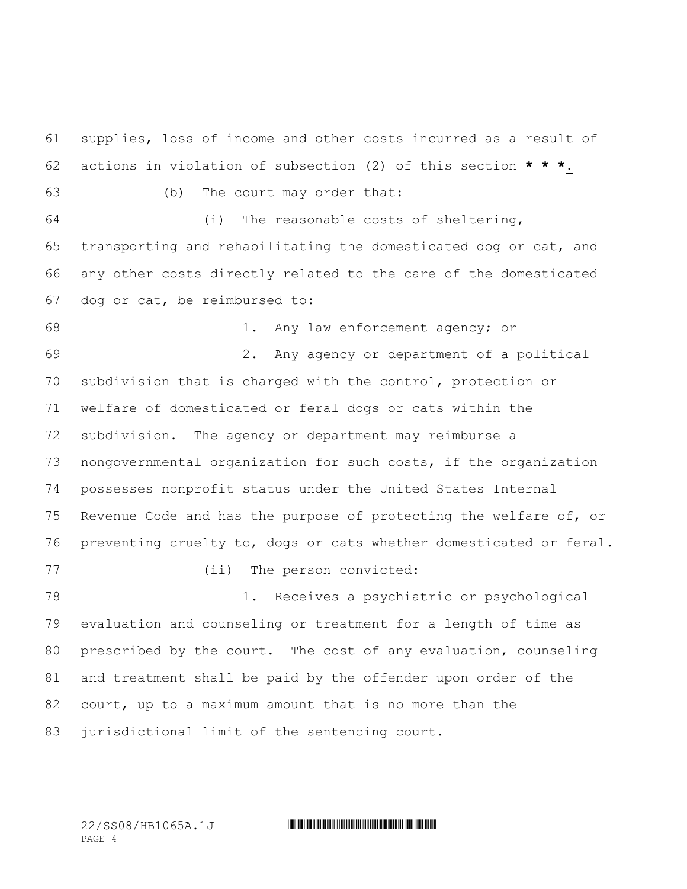supplies, loss of income and other costs incurred as a result of actions in violation of subsection (2) of this section **\* \* \***. (b) The court may order that: (i) The reasonable costs of sheltering, transporting and rehabilitating the domesticated dog or cat, and any other costs directly related to the care of the domesticated dog or cat, be reimbursed to: 1. Any law enforcement agency; or 2. Any agency or department of a political subdivision that is charged with the control, protection or welfare of domesticated or feral dogs or cats within the subdivision. The agency or department may reimburse a nongovernmental organization for such costs, if the organization possesses nonprofit status under the United States Internal Revenue Code and has the purpose of protecting the welfare of, or preventing cruelty to, dogs or cats whether domesticated or feral. (ii) The person convicted: 1. Receives a psychiatric or psychological evaluation and counseling or treatment for a length of time as prescribed by the court. The cost of any evaluation, counseling and treatment shall be paid by the offender upon order of the court, up to a maximum amount that is no more than the jurisdictional limit of the sentencing court.

PAGE 4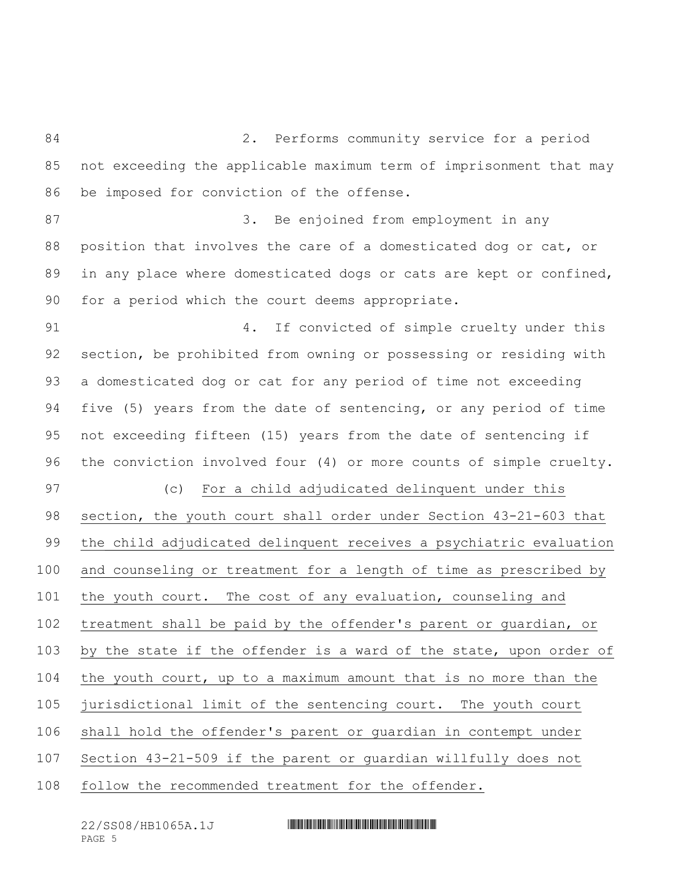2. Performs community service for a period not exceeding the applicable maximum term of imprisonment that may be imposed for conviction of the offense. 87 3. Be enjoined from employment in any position that involves the care of a domesticated dog or cat, or 89 in any place where domesticated dogs or cats are kept or confined, for a period which the court deems appropriate. 4. If convicted of simple cruelty under this section, be prohibited from owning or possessing or residing with a domesticated dog or cat for any period of time not exceeding five (5) years from the date of sentencing, or any period of time not exceeding fifteen (15) years from the date of sentencing if the conviction involved four (4) or more counts of simple cruelty. (c) For a child adjudicated delinquent under this section, the youth court shall order under Section 43-21-603 that the child adjudicated delinquent receives a psychiatric evaluation and counseling or treatment for a length of time as prescribed by the youth court. The cost of any evaluation, counseling and treatment shall be paid by the offender's parent or guardian, or by the state if the offender is a ward of the state, upon order of the youth court, up to a maximum amount that is no more than the jurisdictional limit of the sentencing court. The youth court shall hold the offender's parent or guardian in contempt under Section 43-21-509 if the parent or guardian willfully does not follow the recommended treatment for the offender.

PAGE 5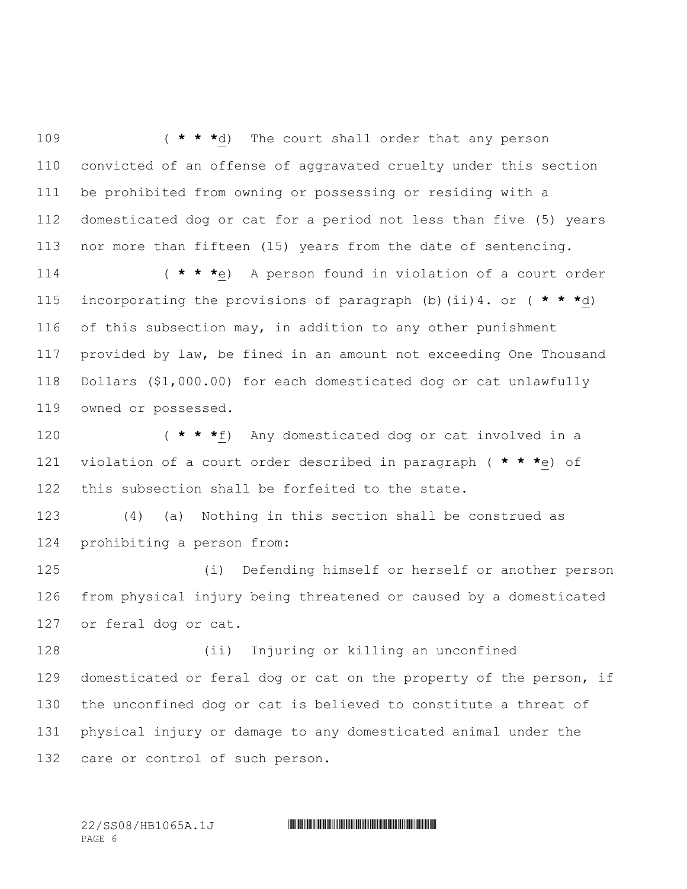( **\* \* \***d) The court shall order that any person convicted of an offense of aggravated cruelty under this section be prohibited from owning or possessing or residing with a domesticated dog or cat for a period not less than five (5) years nor more than fifteen (15) years from the date of sentencing.

 ( **\* \* \***e) A person found in violation of a court order incorporating the provisions of paragraph (b)(ii)4. or ( **\* \* \***d) of this subsection may, in addition to any other punishment provided by law, be fined in an amount not exceeding One Thousand Dollars (\$1,000.00) for each domesticated dog or cat unlawfully owned or possessed.

 ( **\* \* \***f) Any domesticated dog or cat involved in a violation of a court order described in paragraph ( **\* \* \***e) of this subsection shall be forfeited to the state.

 (4) (a) Nothing in this section shall be construed as prohibiting a person from:

 (i) Defending himself or herself or another person from physical injury being threatened or caused by a domesticated or feral dog or cat.

 (ii) Injuring or killing an unconfined domesticated or feral dog or cat on the property of the person, if the unconfined dog or cat is believed to constitute a threat of physical injury or damage to any domesticated animal under the care or control of such person.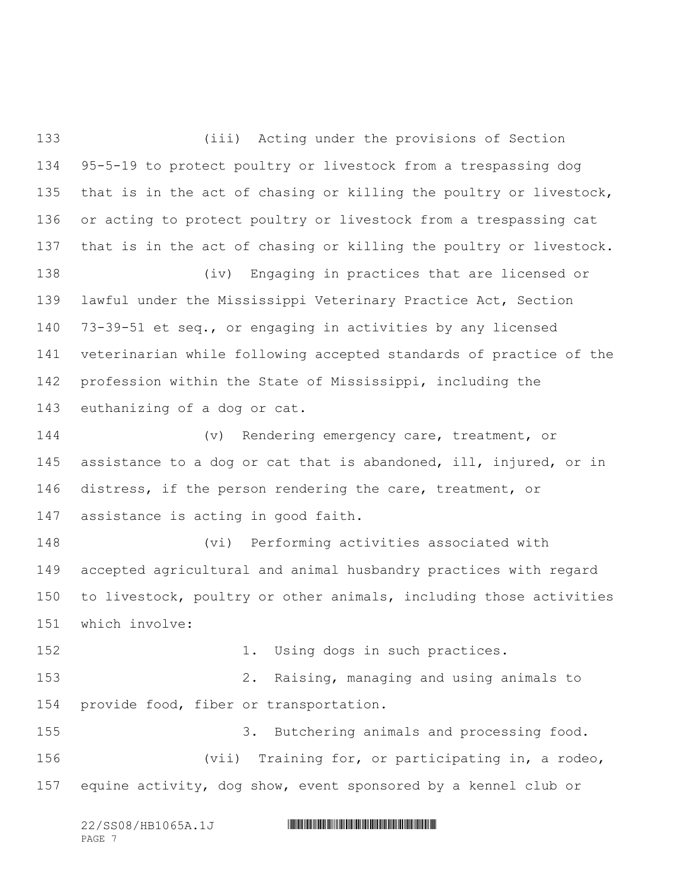(iii) Acting under the provisions of Section 95-5-19 to protect poultry or livestock from a trespassing dog that is in the act of chasing or killing the poultry or livestock, or acting to protect poultry or livestock from a trespassing cat that is in the act of chasing or killing the poultry or livestock. (iv) Engaging in practices that are licensed or lawful under the Mississippi Veterinary Practice Act, Section 73-39-51 et seq., or engaging in activities by any licensed veterinarian while following accepted standards of practice of the profession within the State of Mississippi, including the euthanizing of a dog or cat. (v) Rendering emergency care, treatment, or assistance to a dog or cat that is abandoned, ill, injured, or in 146 distress, if the person rendering the care, treatment, or assistance is acting in good faith. (vi) Performing activities associated with accepted agricultural and animal husbandry practices with regard to livestock, poultry or other animals, including those activities which involve: 152 1. Using dogs in such practices. 2. Raising, managing and using animals to provide food, fiber or transportation. 3. Butchering animals and processing food. (vii) Training for, or participating in, a rodeo, equine activity, dog show, event sponsored by a kennel club or

PAGE 7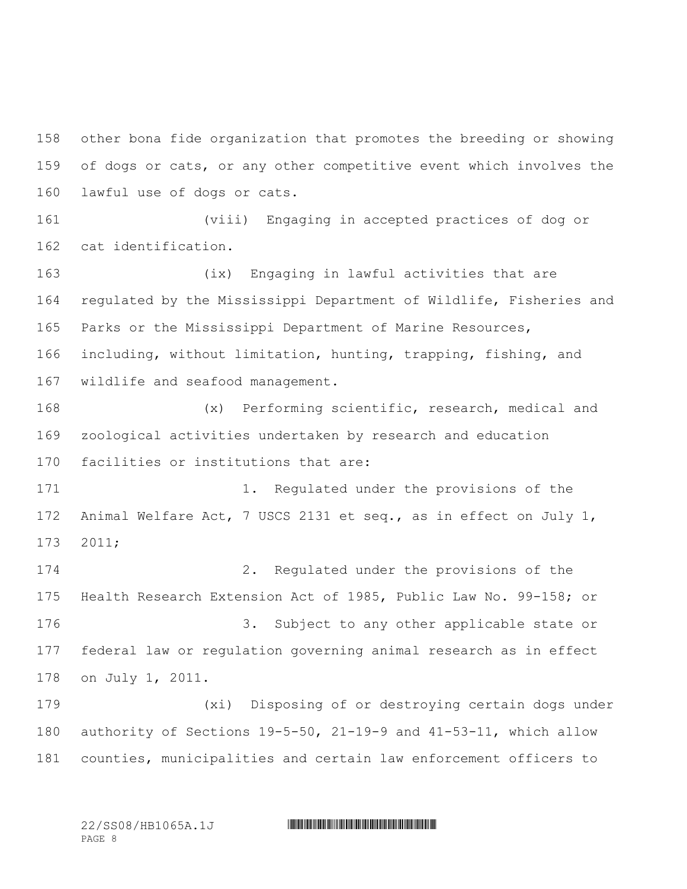other bona fide organization that promotes the breeding or showing of dogs or cats, or any other competitive event which involves the lawful use of dogs or cats. (viii) Engaging in accepted practices of dog or cat identification. (ix) Engaging in lawful activities that are regulated by the Mississippi Department of Wildlife, Fisheries and Parks or the Mississippi Department of Marine Resources, including, without limitation, hunting, trapping, fishing, and wildlife and seafood management. (x) Performing scientific, research, medical and zoological activities undertaken by research and education facilities or institutions that are: 171 1. Regulated under the provisions of the Animal Welfare Act, 7 USCS 2131 et seq., as in effect on July 1, 2011; 2. Regulated under the provisions of the Health Research Extension Act of 1985, Public Law No. 99-158; or 3. Subject to any other applicable state or federal law or regulation governing animal research as in effect on July 1, 2011. (xi) Disposing of or destroying certain dogs under authority of Sections 19-5-50, 21-19-9 and 41-53-11, which allow counties, municipalities and certain law enforcement officers to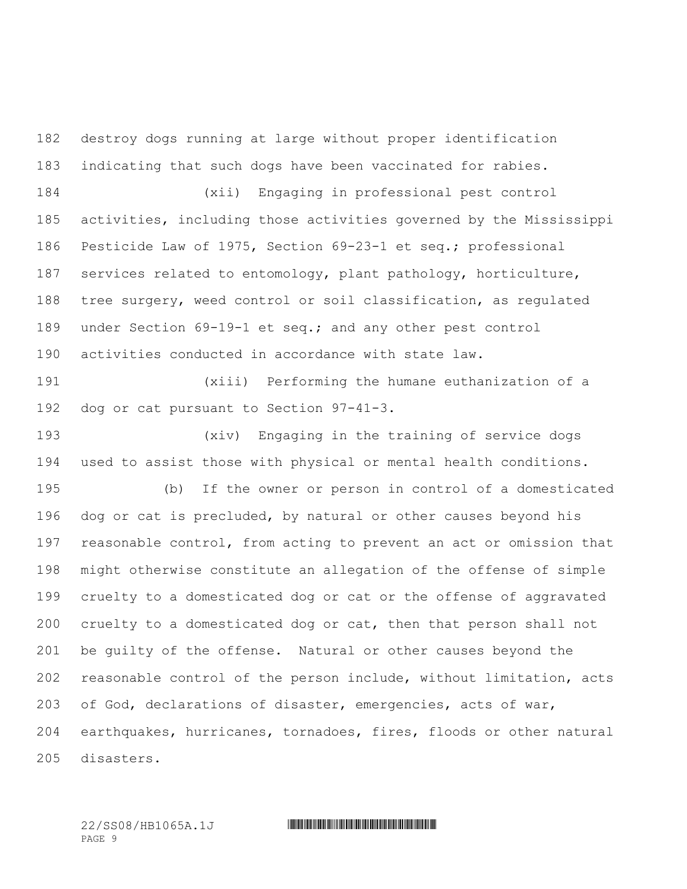destroy dogs running at large without proper identification indicating that such dogs have been vaccinated for rabies.

 (xii) Engaging in professional pest control activities, including those activities governed by the Mississippi Pesticide Law of 1975, Section 69-23-1 et seq.; professional services related to entomology, plant pathology, horticulture, tree surgery, weed control or soil classification, as regulated under Section 69-19-1 et seq.; and any other pest control activities conducted in accordance with state law.

 (xiii) Performing the humane euthanization of a dog or cat pursuant to Section 97-41-3.

 (xiv) Engaging in the training of service dogs used to assist those with physical or mental health conditions.

 (b) If the owner or person in control of a domesticated dog or cat is precluded, by natural or other causes beyond his reasonable control, from acting to prevent an act or omission that might otherwise constitute an allegation of the offense of simple cruelty to a domesticated dog or cat or the offense of aggravated cruelty to a domesticated dog or cat, then that person shall not be guilty of the offense. Natural or other causes beyond the reasonable control of the person include, without limitation, acts of God, declarations of disaster, emergencies, acts of war, earthquakes, hurricanes, tornadoes, fires, floods or other natural disasters.

PAGE 9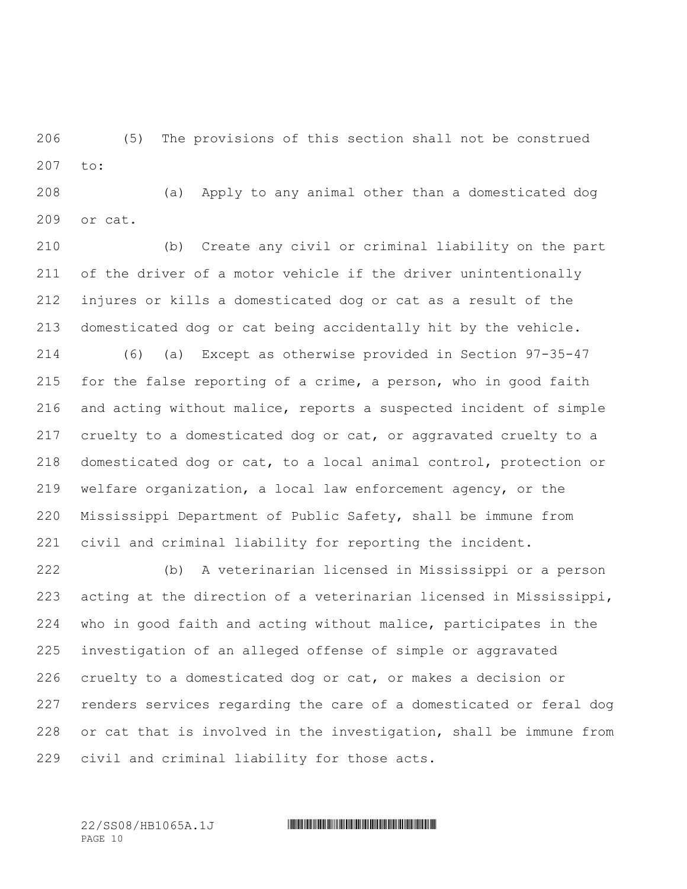(5) The provisions of this section shall not be construed to:

 (a) Apply to any animal other than a domesticated dog or cat.

 (b) Create any civil or criminal liability on the part of the driver of a motor vehicle if the driver unintentionally injures or kills a domesticated dog or cat as a result of the domesticated dog or cat being accidentally hit by the vehicle. (6) (a) Except as otherwise provided in Section 97-35-47 for the false reporting of a crime, a person, who in good faith and acting without malice, reports a suspected incident of simple cruelty to a domesticated dog or cat, or aggravated cruelty to a domesticated dog or cat, to a local animal control, protection or welfare organization, a local law enforcement agency, or the Mississippi Department of Public Safety, shall be immune from civil and criminal liability for reporting the incident.

 (b) A veterinarian licensed in Mississippi or a person acting at the direction of a veterinarian licensed in Mississippi, who in good faith and acting without malice, participates in the investigation of an alleged offense of simple or aggravated cruelty to a domesticated dog or cat, or makes a decision or renders services regarding the care of a domesticated or feral dog or cat that is involved in the investigation, shall be immune from civil and criminal liability for those acts.

PAGE 10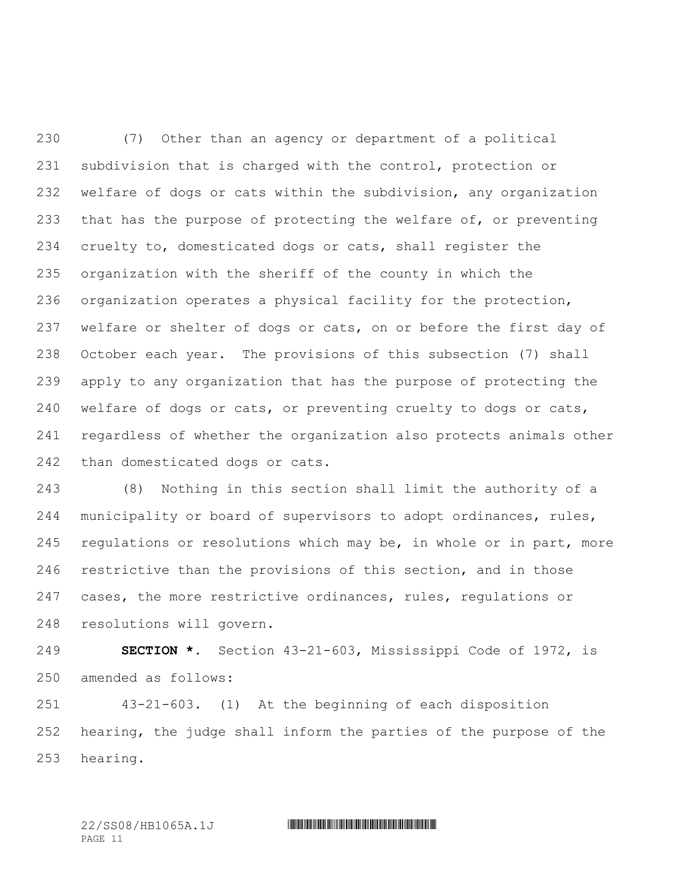(7) Other than an agency or department of a political subdivision that is charged with the control, protection or welfare of dogs or cats within the subdivision, any organization 233 that has the purpose of protecting the welfare of, or preventing cruelty to, domesticated dogs or cats, shall register the organization with the sheriff of the county in which the organization operates a physical facility for the protection, 237 welfare or shelter of dogs or cats, on or before the first day of October each year. The provisions of this subsection (7) shall apply to any organization that has the purpose of protecting the welfare of dogs or cats, or preventing cruelty to dogs or cats, regardless of whether the organization also protects animals other than domesticated dogs or cats.

 (8) Nothing in this section shall limit the authority of a municipality or board of supervisors to adopt ordinances, rules, regulations or resolutions which may be, in whole or in part, more restrictive than the provisions of this section, and in those cases, the more restrictive ordinances, rules, regulations or resolutions will govern.

 **SECTION \*.** Section 43-21-603, Mississippi Code of 1972, is amended as follows:

 43-21-603. (1) At the beginning of each disposition hearing, the judge shall inform the parties of the purpose of the hearing.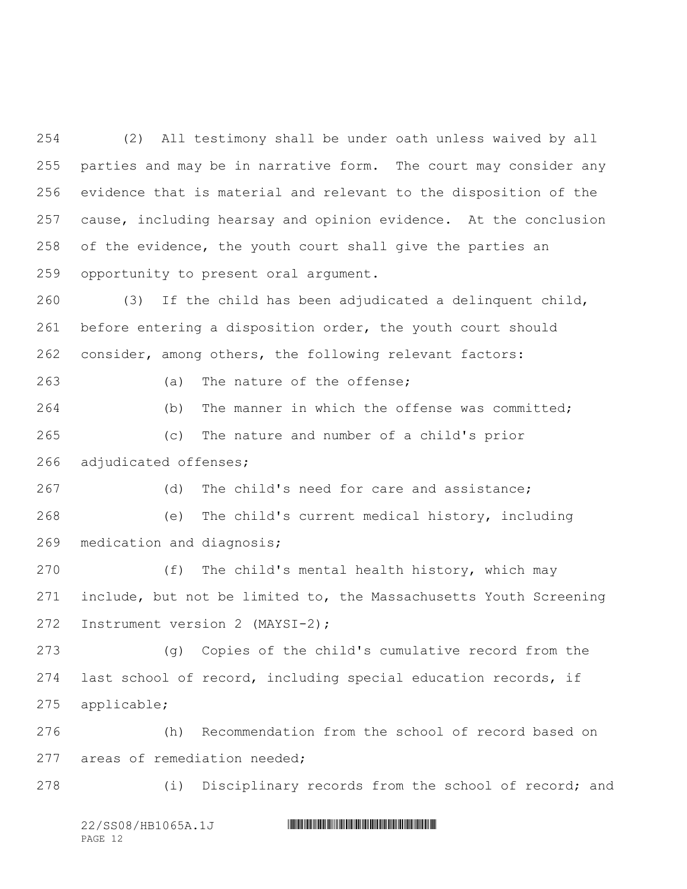(2) All testimony shall be under oath unless waived by all parties and may be in narrative form. The court may consider any evidence that is material and relevant to the disposition of the cause, including hearsay and opinion evidence. At the conclusion of the evidence, the youth court shall give the parties an opportunity to present oral argument.

 (3) If the child has been adjudicated a delinquent child, before entering a disposition order, the youth court should consider, among others, the following relevant factors:

(a) The nature of the offense;

 (b) The manner in which the offense was committed; (c) The nature and number of a child's prior adjudicated offenses;

 (d) The child's need for care and assistance; (e) The child's current medical history, including medication and diagnosis;

 (f) The child's mental health history, which may include, but not be limited to, the Massachusetts Youth Screening Instrument version 2 (MAYSI-2);

 (g) Copies of the child's cumulative record from the last school of record, including special education records, if applicable;

 (h) Recommendation from the school of record based on areas of remediation needed;

(i) Disciplinary records from the school of record; and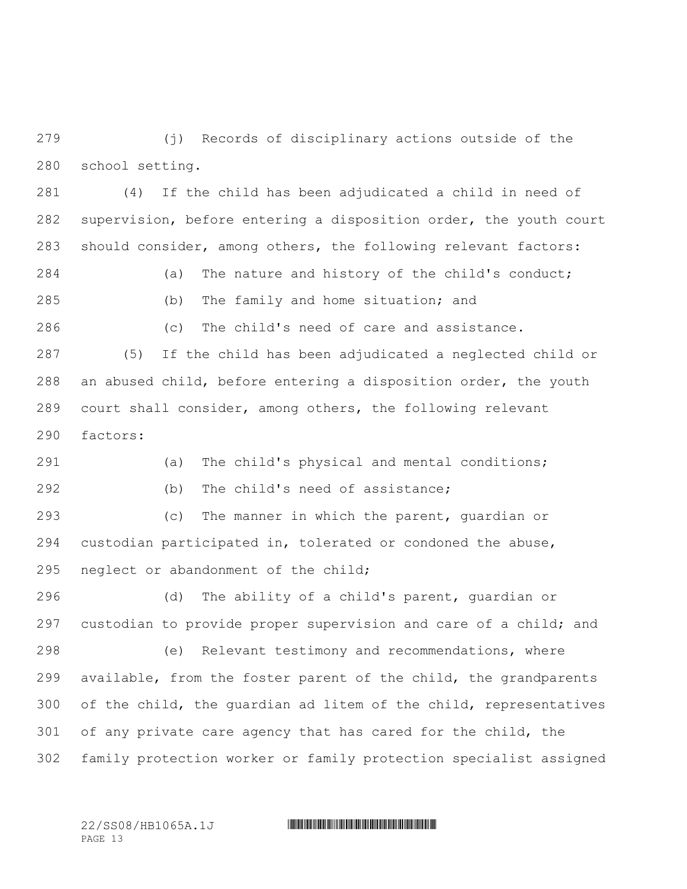(j) Records of disciplinary actions outside of the school setting.

 (4) If the child has been adjudicated a child in need of supervision, before entering a disposition order, the youth court should consider, among others, the following relevant factors:

 (a) The nature and history of the child's conduct; (b) The family and home situation; and

(c) The child's need of care and assistance.

 (5) If the child has been adjudicated a neglected child or an abused child, before entering a disposition order, the youth court shall consider, among others, the following relevant factors:

 (a) The child's physical and mental conditions; (b) The child's need of assistance;

 (c) The manner in which the parent, guardian or custodian participated in, tolerated or condoned the abuse, neglect or abandonment of the child;

 (d) The ability of a child's parent, guardian or custodian to provide proper supervision and care of a child; and (e) Relevant testimony and recommendations, where available, from the foster parent of the child, the grandparents of the child, the guardian ad litem of the child, representatives of any private care agency that has cared for the child, the family protection worker or family protection specialist assigned

PAGE 13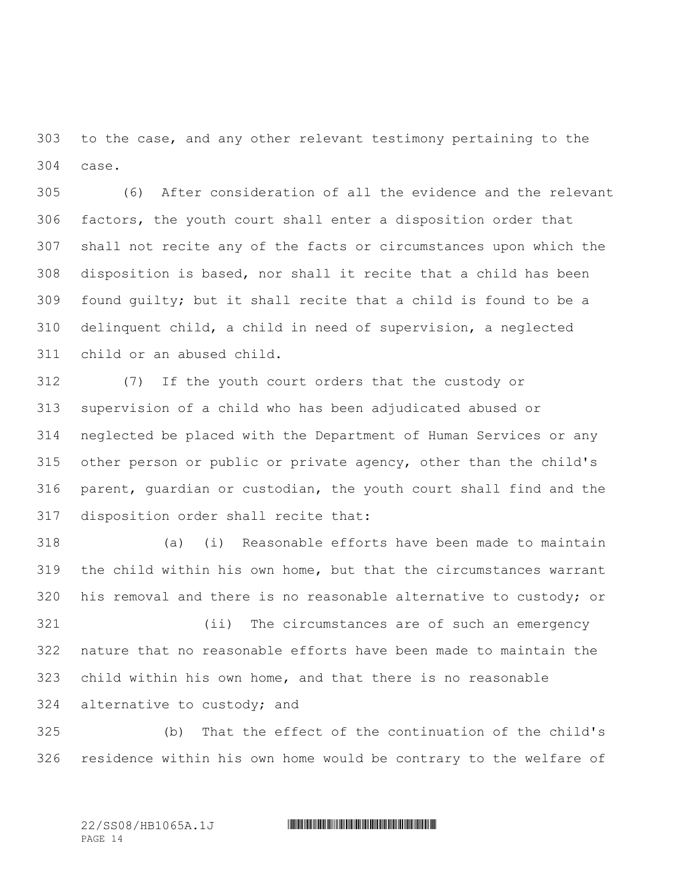to the case, and any other relevant testimony pertaining to the case.

 (6) After consideration of all the evidence and the relevant factors, the youth court shall enter a disposition order that shall not recite any of the facts or circumstances upon which the disposition is based, nor shall it recite that a child has been found guilty; but it shall recite that a child is found to be a delinquent child, a child in need of supervision, a neglected child or an abused child.

 (7) If the youth court orders that the custody or supervision of a child who has been adjudicated abused or neglected be placed with the Department of Human Services or any other person or public or private agency, other than the child's parent, guardian or custodian, the youth court shall find and the disposition order shall recite that:

 (a) (i) Reasonable efforts have been made to maintain the child within his own home, but that the circumstances warrant his removal and there is no reasonable alternative to custody; or

 (ii) The circumstances are of such an emergency nature that no reasonable efforts have been made to maintain the child within his own home, and that there is no reasonable alternative to custody; and

 (b) That the effect of the continuation of the child's residence within his own home would be contrary to the welfare of

PAGE 14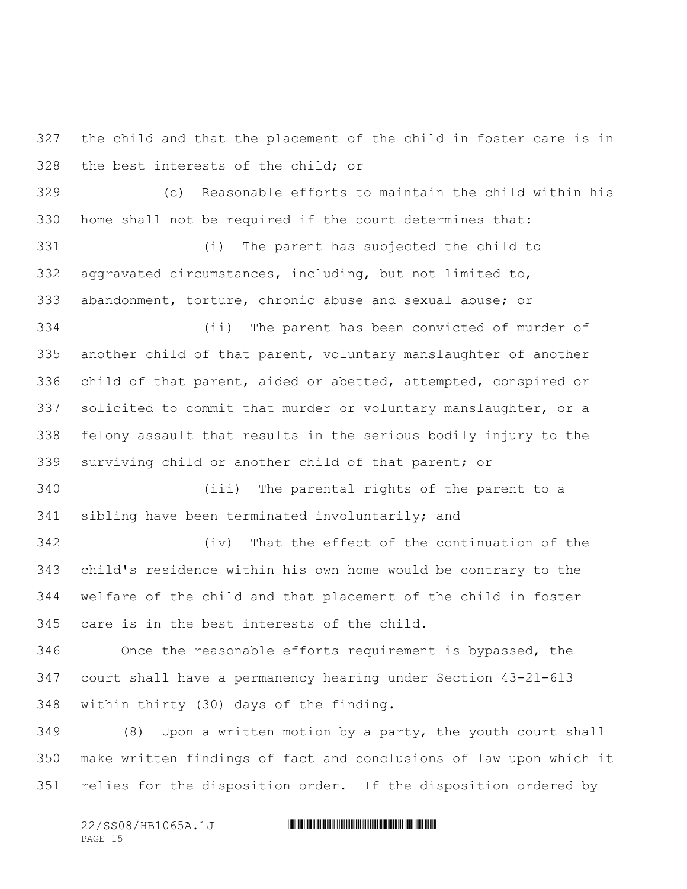the child and that the placement of the child in foster care is in the best interests of the child; or

 (c) Reasonable efforts to maintain the child within his home shall not be required if the court determines that:

 (i) The parent has subjected the child to aggravated circumstances, including, but not limited to, abandonment, torture, chronic abuse and sexual abuse; or

 (ii) The parent has been convicted of murder of another child of that parent, voluntary manslaughter of another child of that parent, aided or abetted, attempted, conspired or solicited to commit that murder or voluntary manslaughter, or a felony assault that results in the serious bodily injury to the surviving child or another child of that parent; or

 (iii) The parental rights of the parent to a sibling have been terminated involuntarily; and

 (iv) That the effect of the continuation of the child's residence within his own home would be contrary to the welfare of the child and that placement of the child in foster care is in the best interests of the child.

 Once the reasonable efforts requirement is bypassed, the court shall have a permanency hearing under Section 43-21-613 within thirty (30) days of the finding.

 (8) Upon a written motion by a party, the youth court shall make written findings of fact and conclusions of law upon which it relies for the disposition order. If the disposition ordered by

PAGE 15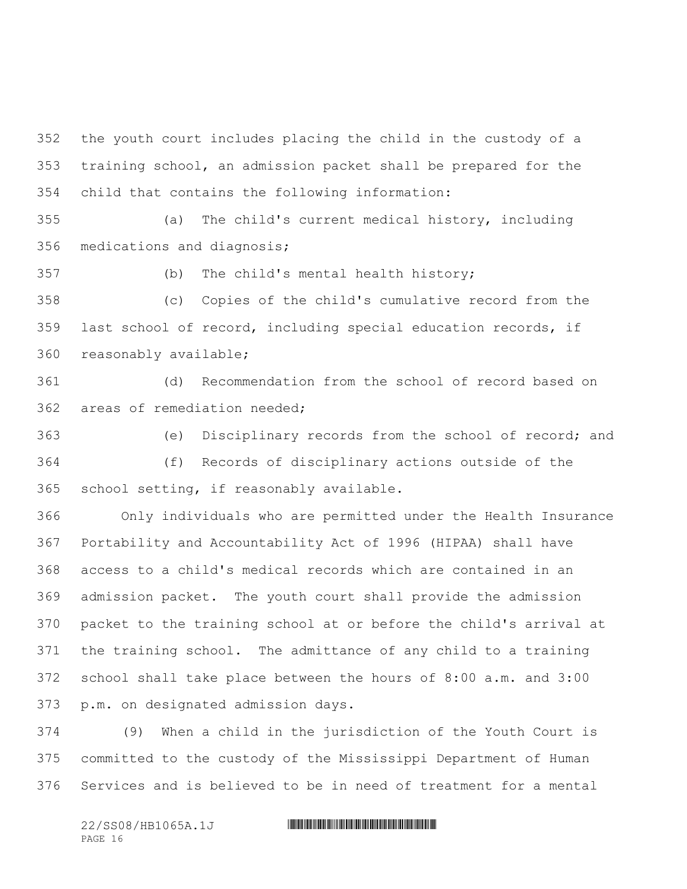the youth court includes placing the child in the custody of a training school, an admission packet shall be prepared for the child that contains the following information:

 (a) The child's current medical history, including medications and diagnosis;

(b) The child's mental health history;

 (c) Copies of the child's cumulative record from the last school of record, including special education records, if reasonably available;

 (d) Recommendation from the school of record based on areas of remediation needed;

 (e) Disciplinary records from the school of record; and (f) Records of disciplinary actions outside of the school setting, if reasonably available.

 Only individuals who are permitted under the Health Insurance Portability and Accountability Act of 1996 (HIPAA) shall have access to a child's medical records which are contained in an admission packet. The youth court shall provide the admission packet to the training school at or before the child's arrival at the training school. The admittance of any child to a training school shall take place between the hours of 8:00 a.m. and 3:00 p.m. on designated admission days.

 (9) When a child in the jurisdiction of the Youth Court is committed to the custody of the Mississippi Department of Human Services and is believed to be in need of treatment for a mental

PAGE 16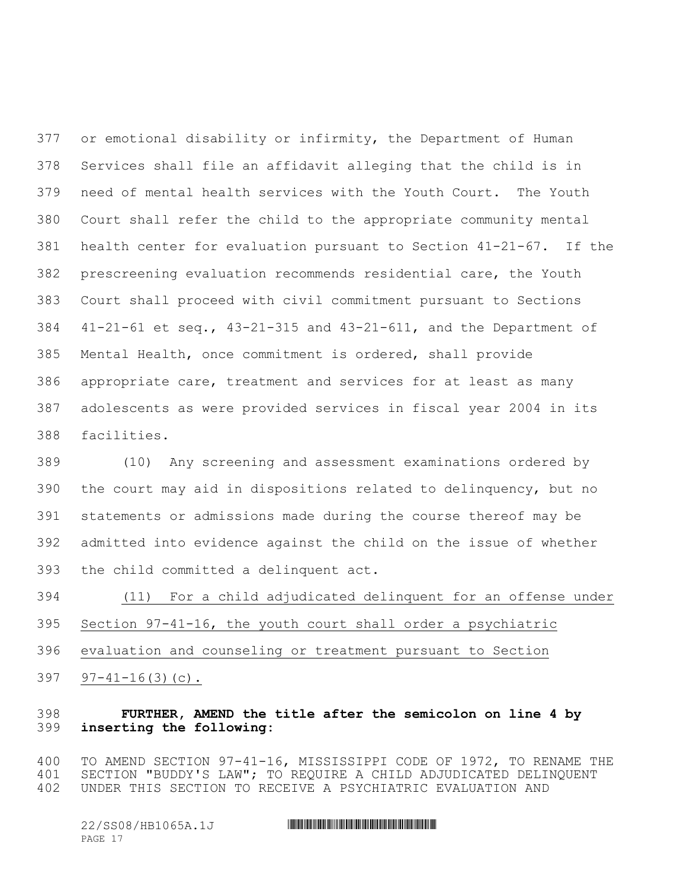or emotional disability or infirmity, the Department of Human Services shall file an affidavit alleging that the child is in need of mental health services with the Youth Court. The Youth Court shall refer the child to the appropriate community mental health center for evaluation pursuant to Section 41-21-67. If the prescreening evaluation recommends residential care, the Youth Court shall proceed with civil commitment pursuant to Sections 41-21-61 et seq., 43-21-315 and 43-21-611, and the Department of Mental Health, once commitment is ordered, shall provide appropriate care, treatment and services for at least as many adolescents as were provided services in fiscal year 2004 in its facilities.

 (10) Any screening and assessment examinations ordered by the court may aid in dispositions related to delinquency, but no statements or admissions made during the course thereof may be admitted into evidence against the child on the issue of whether the child committed a delinquent act.

 (11) For a child adjudicated delinquent for an offense under Section 97-41-16, the youth court shall order a psychiatric evaluation and counseling or treatment pursuant to Section 97-41-16(3)(c).

## **FURTHER, AMEND the title after the semicolon on line 4 by inserting the following:**

 TO AMEND SECTION 97-41-16, MISSISSIPPI CODE OF 1972, TO RENAME THE SECTION "BUDDY'S LAW"; TO REQUIRE A CHILD ADJUDICATED DELINQUENT UNDER THIS SECTION TO RECEIVE A PSYCHIATRIC EVALUATION AND